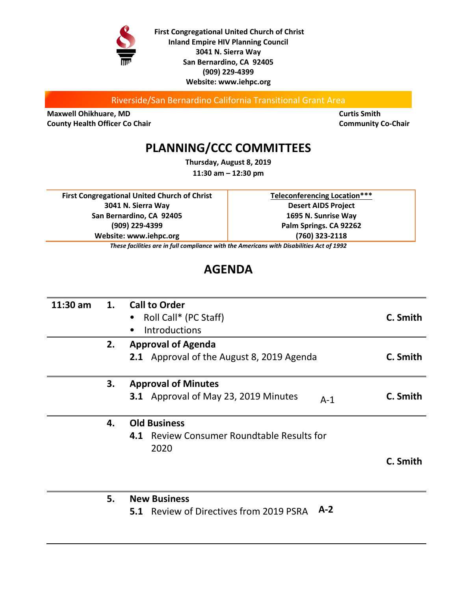

**First Congregational United Church of Christ Inland Empire HIV Planning Council 3041 N. Sierra Way San Bernardino, CA 92405 (909) 229-4399 Website: www.iehpc.org**

Riverside/San Bernardino California Transitional Grant Area

**Maxwell Ohikhuare, MD Curtis Smith Curtis Smith County Health Officer Co Chair Community Co-Chair Community Co-Chair Community Co-Chair** 

# **PLANNING/CCC COMMITTEES**

**Thursday, August 8, 2019 11:30 am – 12:30 pm**

**First Congregational United Church of Christ 3041 N. Sierra Way San Bernardino, CA 92405 (909) 229-4399 Website: www.iehpc.org**

**Teleconferencing Location\*\*\* Desert AIDS Project 1695 N. Sunrise Way Palm Springs. CA 92262 (760) 323-2118**

*These facilities are in full compliance with the Americans with Disabilities Act of 1992*

# **AGENDA**

| 11:30 am | 1.  | <b>Call to Order</b>                                 |          |
|----------|-----|------------------------------------------------------|----------|
|          |     | Roll Call* (PC Staff)                                | C. Smith |
|          |     | <b>Introductions</b>                                 |          |
|          | 2.  | <b>Approval of Agenda</b>                            |          |
|          |     | 2.1 Approval of the August 8, 2019 Agenda            | C. Smith |
|          | 3.  | <b>Approval of Minutes</b>                           |          |
|          |     | 3.1 Approval of May 23, 2019 Minutes<br>$A-1$        | C. Smith |
|          | 4.  | <b>Old Business</b>                                  |          |
|          |     | <b>Review Consumer Roundtable Results for</b><br>4.1 |          |
|          |     | 2020                                                 |          |
|          |     |                                                      | C. Smith |
|          |     |                                                      |          |
|          | - - | $\blacksquare$                                       |          |

**5. New Business**

**5.1** Review of Directives from 2019 PSRA **A-2**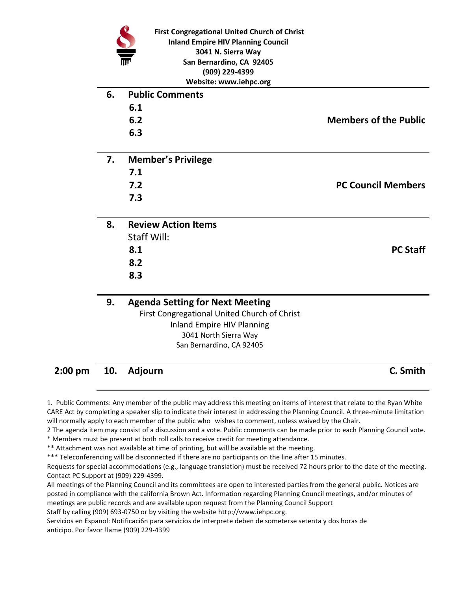|    | <b>First Congregational United Church of Christ</b><br><b>Inland Empire HIV Planning Council</b><br>3041 N. Sierra Way<br>San Bernardino, CA 92405<br>(909) 229-4399<br>Website: www.iehpc.org |                              |
|----|------------------------------------------------------------------------------------------------------------------------------------------------------------------------------------------------|------------------------------|
| 6. | <b>Public Comments</b>                                                                                                                                                                         |                              |
|    | 6.1                                                                                                                                                                                            |                              |
|    | 6.2                                                                                                                                                                                            | <b>Members of the Public</b> |
|    | 6.3                                                                                                                                                                                            |                              |
| 7. | <b>Member's Privilege</b>                                                                                                                                                                      |                              |
|    | 7.1                                                                                                                                                                                            |                              |
|    | 7.2                                                                                                                                                                                            | <b>PC Council Members</b>    |
|    | 7.3                                                                                                                                                                                            |                              |
| 8. | <b>Review Action Items</b>                                                                                                                                                                     |                              |
|    | <b>Staff Will:</b>                                                                                                                                                                             |                              |
|    | 8.1                                                                                                                                                                                            | <b>PC Staff</b>              |
|    | 8.2                                                                                                                                                                                            |                              |
|    | 8.3                                                                                                                                                                                            |                              |
| 9. | <b>Agenda Setting for Next Meeting</b>                                                                                                                                                         |                              |
|    | First Congregational United Church of Christ                                                                                                                                                   |                              |
|    | <b>Inland Empire HIV Planning</b>                                                                                                                                                              |                              |
|    | 3041 North Sierra Way<br>San Bernardino, CA 92405                                                                                                                                              |                              |
|    |                                                                                                                                                                                                |                              |
|    |                                                                                                                                                                                                |                              |

**2:00 pm 10. Adjourn C. Smith**

1. Public Comments: Any member of the public may address this meeting on items of interest that relate to the Ryan White CARE Act by completing a speaker slip to indicate their interest in addressing the Planning Council. A three-minute limitation will normally apply to each member of the public who wishes to comment, unless waived by the Chair.

2 The agenda item may consist of a discussion and a vote. Public comments can be made prior to each Planning Council vote.

\* Members must be present at both roll calls to receive credit for meeting attendance.

\*\* Attachment was not available at time of printing, but will be available at the meeting.

\*\*\* Teleconferencing will be disconnected if there are no participants on the line after 15 minutes.

Requests for special accommodations (e.g., language translation) must be received 72 hours prior to the date of the meeting. Contact PC Support at (909) 229-4399.

All meetings of the Planning Council and its committees are open to interested parties from the general public. Notices are posted in compliance with the california Brown Act. Information regarding Planning Council meetings, and/or minutes of meetings are public records and are available upon request from the Planning Council Support

Staff by calling (909) 693-0750 or by visiting the website http://www.iehpc.org.

Servicios en Espanol: Notificaci6n para servicios de interprete deben de someterse setenta y dos horas de anticipo. Por favor !lame (909) 229-4399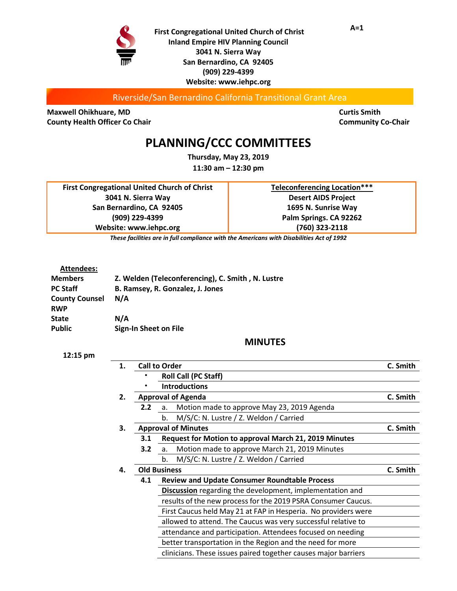

**First Congregational United Church of Christ Inland Empire HIV Planning Council 3041 N. Sierra Way San Bernardino, CA 92405 (909) 229-4399 Website: www.iehpc.org**

Riverside/San Bernardino California Transitional Grant Area

**Maxwell Ohikhuare, MD Curtis Smith County Health Officer Co Chair Community Co-Chair Community Co-Chair Community Co-Chair** 

## **PLANNING/CCC COMMITTEES**

**Thursday, May 23, 2019 11:30 am – 12:30 pm**

**First Congregational United Church of Christ 3041 N. Sierra Way San Bernardino, CA 92405 (909) 229-4399 Website: www.iehpc.org**

**Teleconferencing Location\*\*\* Desert AIDS Project 1695 N. Sunrise Way Palm Springs. CA 92262 (760) 323-2118**

*These facilities are in full compliance with the Americans with Disabilities Act of 1992*

#### **Attendees:**

| <b>Members</b>        | Z. Welden (Teleconferencing), C. Smith, N. Lustre |
|-----------------------|---------------------------------------------------|
| <b>PC Staff</b>       | B. Ramsey, R. Gonzalez, J. Jones                  |
| <b>County Counsel</b> | N/A                                               |
| <b>RWP</b>            |                                                   |
| <b>State</b>          | N/A                                               |
| <b>Public</b>         | Sign-In Sheet on File                             |

### **MINUTES**

| 1. |                     | <b>Call to Order</b>                                           | C. Smith |  |
|----|---------------------|----------------------------------------------------------------|----------|--|
|    |                     | <b>Roll Call (PC Staff)</b>                                    |          |  |
|    |                     | <b>Introductions</b>                                           |          |  |
| 2. |                     | <b>Approval of Agenda</b>                                      | C. Smith |  |
|    | 2.2                 | Motion made to approve May 23, 2019 Agenda<br>a.               |          |  |
|    |                     | M/S/C: N. Lustre / Z. Weldon / Carried<br>b.                   |          |  |
| 3. |                     | <b>Approval of Minutes</b>                                     | C. Smith |  |
|    | 3.1                 | Request for Motion to approval March 21, 2019 Minutes          |          |  |
|    | 3.2                 | Motion made to approve March 21, 2019 Minutes<br>a.            |          |  |
|    |                     | M/S/C: N. Lustre / Z. Weldon / Carried<br>b.                   |          |  |
| 4. | <b>Old Business</b> |                                                                | C. Smith |  |
|    | 4.1                 | <b>Review and Update Consumer Roundtable Process</b>           |          |  |
|    |                     | Discussion regarding the development, implementation and       |          |  |
|    |                     | results of the new process for the 2019 PSRA Consumer Caucus.  |          |  |
|    |                     | First Caucus held May 21 at FAP in Hesperia. No providers were |          |  |
|    |                     | allowed to attend. The Caucus was very successful relative to  |          |  |
|    |                     | attendance and participation. Attendees focused on needing     |          |  |
|    |                     | better transportation in the Region and the need for more      |          |  |
|    |                     | clinicians. These issues paired together causes major barriers |          |  |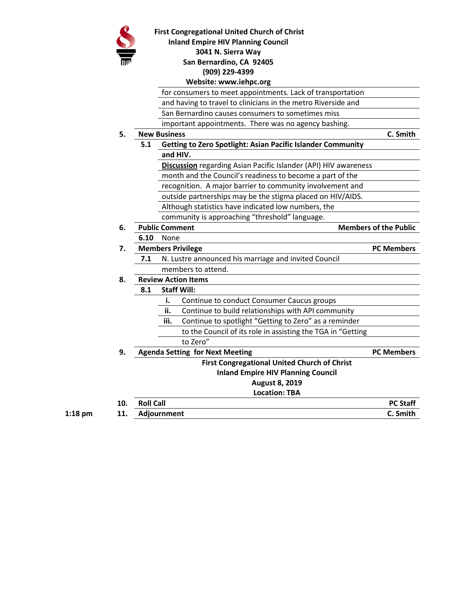

#### **First Congregational United Church of Christ**

**Inland Empire HIV Planning Council**

**3041 N. Sierra Way**

#### **San Bernardino, CA 92405**

**(909) 229-4399**

### **Website: www.iehpc.org**

for consumers to meet appointments. Lack of transportation

and having to travel to clinicians in the metro Riverside and

San Bernardino causes consumers to sometimes miss

important appointments. There was no agency bashing.

**5. New Business C. Smith**

- - **5.1 Getting to Zero Spotlight: Asian Pacific Islander Community**

**and HIV.**

**Discussion** regarding Asian Pacific Islander (API) HIV awareness

month and the Council's readiness to become a part of the

recognition. A major barrier to community involvement and

outside partnerships may be the stigma placed on HIV/AIDS.

Although statistics have indicated low numbers, the

community is approaching "threshold" language.

- **6. Public Comment Members of the Public** 
	- **6.10** None

| <b>Members Privilege</b> | <b>PC Members</b> |
|--------------------------|-------------------|

- **7.1** N. Lustre announced his marriage and invited Council members to attend.
- 

## **8. Review Action Items**

- **8.1 Staff Will:**
	- **i.** Continue to conduct Consumer Caucus groups
	- **ii.** Continue to build relationships with API community
	- **iii.** Continue to spotlight "Getting to Zero" as a reminder
		- to the Council of its role in assisting the TGA in "Getting
		- to Zero"
- **9. Agenda Setting for Next Meeting PC Members First Congregational United Church of Christ Inland Empire HIV Planning Council August 8, 2019 Location: TBA 10. Roll Call PC Staff 1:18 pm 11. Adjournment C. Smith**